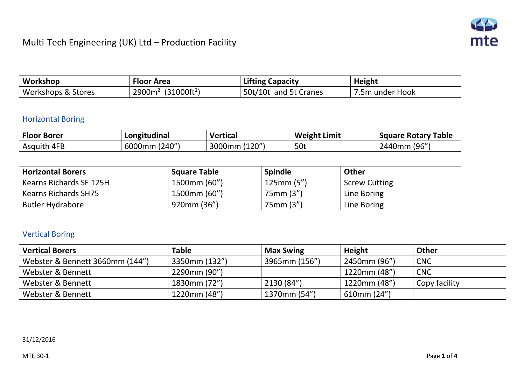

| Workshop                      | <b>Floor Area</b>                             | <b>Lifting Capacity</b> | <b>Height</b>   |
|-------------------------------|-----------------------------------------------|-------------------------|-----------------|
| <b>Workshops &amp; Stores</b> | (31000ft <sup>2</sup> )<br>2900m <sup>2</sup> | 50t/10t and 5t Cranes   | 1.5m under Hook |

#### Horizontal Boring

| <b>Floor Borer</b> | Longitudinal  | <b>Vertical</b> | <b>Weight Limit</b> | <b>Square Rotary Table</b> |
|--------------------|---------------|-----------------|---------------------|----------------------------|
| Asquith 4FB        | 6000mm (240") | 3000mm (120")   | 50t                 | 2440mm (96")               |

| <b>Horizontal Borers</b>    | <b>Square Table</b> | <b>Spindle</b> | Other                |
|-----------------------------|---------------------|----------------|----------------------|
| Kearns Richards SF 125H     | 1500mm (60")        | 125mm(5")      | <b>Screw Cutting</b> |
| <b>Kearns Richards SH75</b> | 1500mm (60")        | 75mm (3")      | Line Boring          |
| <b>Butler Hydrabore</b>     | 920mm (36")         | 75mm (3")      | Line Boring          |

## Vertical Boring

| <b>Vertical Borers</b>          | <b>Table</b>  | <b>Max Swing</b> | <b>Height</b>    | Other         |
|---------------------------------|---------------|------------------|------------------|---------------|
| Webster & Bennett 3660mm (144") | 3350mm (132") | 3965mm (156")    | 2450mm (96")     | <b>CNC</b>    |
| Webster & Bennett               | 2290mm (90")  |                  | 1220mm (48")     | <b>CNC</b>    |
| Webster & Bennett               | 1830mm (72")  | 2130 (84")       | 1220mm (48")     | Copy facility |
| Webster & Bennett               | 1220mm (48")  | 1370mm (54")     | $610$ mm $(24")$ |               |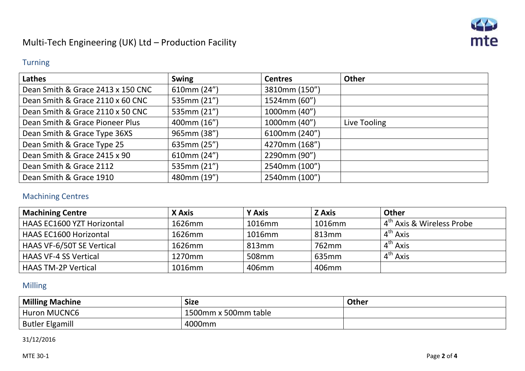

#### Turning

| Lathes                            | <b>Swing</b> | <b>Centres</b> | <b>Other</b> |
|-----------------------------------|--------------|----------------|--------------|
| Dean Smith & Grace 2413 x 150 CNC | 610mm (24")  | 3810mm (150")  |              |
| Dean Smith & Grace 2110 x 60 CNC  | 535mm (21")  | 1524mm (60")   |              |
| Dean Smith & Grace 2110 x 50 CNC  | 535mm (21")  | 1000mm (40")   |              |
| Dean Smith & Grace Pioneer Plus   | 400mm (16")  | 1000mm (40")   | Live Tooling |
| Dean Smith & Grace Type 36XS      | 965mm (38")  | 6100mm (240")  |              |
| Dean Smith & Grace Type 25        | 635mm (25")  | 4270mm (168")  |              |
| Dean Smith & Grace 2415 x 90      | 610mm (24")  | 2290mm (90")   |              |
| Dean Smith & Grace 2112           | 535mm (21")  | 2540mm (100")  |              |
| Dean Smith & Grace 1910           | 480mm (19")  | 2540mm (100")  |              |

#### Machining Centres

| Machining Centre           | X Axis | <b>Y Axis</b> | <b>Z</b> Axis     | <b>Other</b>                              |
|----------------------------|--------|---------------|-------------------|-------------------------------------------|
| HAAS EC1600 YZT Horizontal | 1626mm | 1016mm        | 1016mm            | $\pm 4^{\text{th}}$ Axis & Wireless Probe |
| HAAS EC1600 Horizontal     | 1626mm | 1016mm        | 813 <sub>mm</sub> | 4 <sup>th</sup> Axis                      |
| HAAS VF-6/50T SE Vertical  | 1626mm | 813mm         | 762mm             | $4^{th}$ Axis                             |
| HAAS VF-4 SS Vertical      | 1270mm | 508mm         | 635 <sub>mm</sub> | $4^{th}$ Axis                             |
| HAAS TM-2P Vertical        | 1016mm | 406mm         | 406mm             |                                           |

### Milling

| <b>Milling Machine</b> | <b>Size</b>          | Other |
|------------------------|----------------------|-------|
| <b>Huron MUCNC6</b>    | 1500mm x 500mm table |       |
| <b>Butler Elgamill</b> | 4000mm               |       |

31/12/2016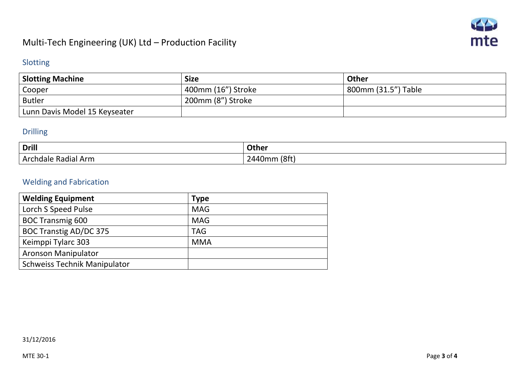

#### Slotting

| <b>Slotting Machine</b>       | <b>Size</b>        | <b>Other</b>        |
|-------------------------------|--------------------|---------------------|
| Cooper                        | 400mm (16") Stroke | 800mm (31.5") Table |
| <b>Butler</b>                 | 200mm (8") Stroke  |                     |
| Lunn Davis Model 15 Keyseater |                    |                     |

#### Drilling

| <b>Drill</b>                                     | Other       |
|--------------------------------------------------|-------------|
| $\sim$<br>. .<br>យរកស<br>.<br>nduidi<br>71 AH H. | ום ∩<br>, , |

## Welding and Fabrication

| <b>Welding Equipment</b>            | <b>Type</b> |
|-------------------------------------|-------------|
| Lorch S Speed Pulse                 | <b>MAG</b>  |
| <b>BOC Transmig 600</b>             | <b>MAG</b>  |
| <b>BOC Transtig AD/DC 375</b>       | <b>TAG</b>  |
| Keimppi Tylarc 303                  | <b>MMA</b>  |
| <b>Aronson Manipulator</b>          |             |
| <b>Schweiss Technik Manipulator</b> |             |